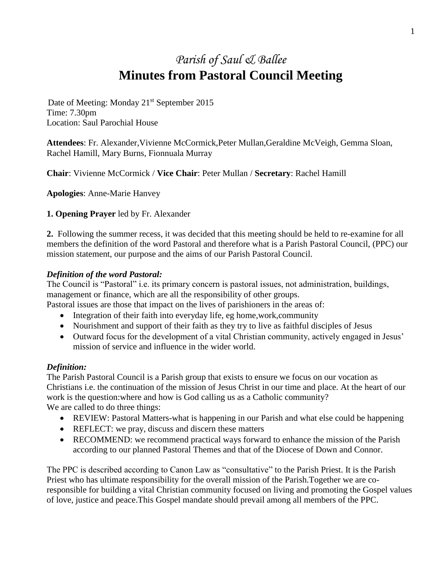# *Parish of Saul & Ballee* **Minutes from Pastoral Council Meeting**

Date of Meeting: Monday 21<sup>st</sup> September 2015 Time: 7.30pm Location: Saul Parochial House

**Attendees**: Fr. Alexander,Vivienne McCormick,Peter Mullan,Geraldine McVeigh, Gemma Sloan, Rachel Hamill, Mary Burns, Fionnuala Murray

**Chair**: Vivienne McCormick / **Vice Chair**: Peter Mullan / **Secretary**: Rachel Hamill

**Apologies**: Anne-Marie Hanvey

## **1. Opening Prayer** led by Fr. Alexander

**2.** Following the summer recess, it was decided that this meeting should be held to re-examine for all members the definition of the word Pastoral and therefore what is a Parish Pastoral Council, (PPC) our mission statement, our purpose and the aims of our Parish Pastoral Council.

## *Definition of the word Pastoral:*

The Council is "Pastoral" i.e. its primary concern is pastoral issues, not administration, buildings, management or finance, which are all the responsibility of other groups.

Pastoral issues are those that impact on the lives of parishioners in the areas of:

- Integration of their faith into everyday life, eg home,work,community
- Nourishment and support of their faith as they try to live as faithful disciples of Jesus
- Outward focus for the development of a vital Christian community, actively engaged in Jesus' mission of service and influence in the wider world.

## *Definition:*

The Parish Pastoral Council is a Parish group that exists to ensure we focus on our vocation as Christians i.e. the continuation of the mission of Jesus Christ in our time and place. At the heart of our work is the question:where and how is God calling us as a Catholic community? We are called to do three things:

- REVIEW: Pastoral Matters-what is happening in our Parish and what else could be happening
- REFLECT: we pray, discuss and discern these matters
- RECOMMEND: we recommend practical ways forward to enhance the mission of the Parish according to our planned Pastoral Themes and that of the Diocese of Down and Connor.

The PPC is described according to Canon Law as "consultative" to the Parish Priest. It is the Parish Priest who has ultimate responsibility for the overall mission of the Parish.Together we are coresponsible for building a vital Christian community focused on living and promoting the Gospel values of love, justice and peace.This Gospel mandate should prevail among all members of the PPC.